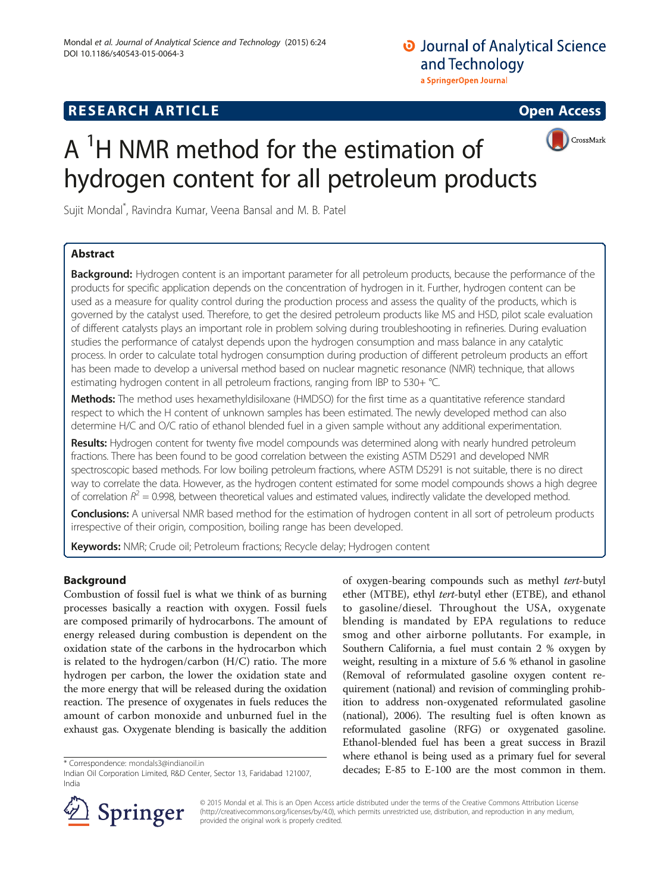# **O** Journal of Analytical Science and Technology a SpringerOpen Journal

# **RESEARCH ARTICLE Example 2014 12:30 The SEAR CH ACCESS**



# $A<sup>1</sup>H NMR$  method for the estimation of hydrogen content for all petroleum products

Sujit Mondal\* , Ravindra Kumar, Veena Bansal and M. B. Patel

# Abstract

Background: Hydrogen content is an important parameter for all petroleum products, because the performance of the products for specific application depends on the concentration of hydrogen in it. Further, hydrogen content can be used as a measure for quality control during the production process and assess the quality of the products, which is governed by the catalyst used. Therefore, to get the desired petroleum products like MS and HSD, pilot scale evaluation of different catalysts plays an important role in problem solving during troubleshooting in refineries. During evaluation studies the performance of catalyst depends upon the hydrogen consumption and mass balance in any catalytic process. In order to calculate total hydrogen consumption during production of different petroleum products an effort has been made to develop a universal method based on nuclear magnetic resonance (NMR) technique, that allows estimating hydrogen content in all petroleum fractions, ranging from IBP to 530+ °C.

Methods: The method uses hexamethyldisiloxane (HMDSO) for the first time as a quantitative reference standard respect to which the H content of unknown samples has been estimated. The newly developed method can also determine H/C and O/C ratio of ethanol blended fuel in a given sample without any additional experimentation.

Results: Hydrogen content for twenty five model compounds was determined along with nearly hundred petroleum fractions. There has been found to be good correlation between the existing ASTM D5291 and developed NMR spectroscopic based methods. For low boiling petroleum fractions, where ASTM D5291 is not suitable, there is no direct way to correlate the data. However, as the hydrogen content estimated for some model compounds shows a high degree of correlation  $R^2 = 0.998$ , between theoretical values and estimated values, indirectly validate the developed method.

Conclusions: A universal NMR based method for the estimation of hydrogen content in all sort of petroleum products irrespective of their origin, composition, boiling range has been developed.

Keywords: NMR; Crude oil; Petroleum fractions; Recycle delay; Hydrogen content

### Background

Combustion of fossil fuel is what we think of as burning processes basically a reaction with oxygen. Fossil fuels are composed primarily of hydrocarbons. The amount of energy released during combustion is dependent on the oxidation state of the carbons in the hydrocarbon which is related to the hydrogen/carbon (H/C) ratio. The more hydrogen per carbon, the lower the oxidation state and the more energy that will be released during the oxidation reaction. The presence of oxygenates in fuels reduces the amount of carbon monoxide and unburned fuel in the exhaust gas. Oxygenate blending is basically the addition

of oxygen-bearing compounds such as methyl tert-butyl ether (MTBE), ethyl tert-butyl ether (ETBE), and ethanol to gasoline/diesel. Throughout the USA, oxygenate blending is mandated by EPA regulations to reduce smog and other airborne pollutants. For example, in Southern California, a fuel must contain 2 % oxygen by weight, resulting in a mixture of 5.6 % ethanol in gasoline (Removal of reformulated gasoline oxygen content requirement (national) and revision of commingling prohibition to address non-oxygenated reformulated gasoline (national), [2006\)](#page-9-0). The resulting fuel is often known as reformulated gasoline (RFG) or oxygenated gasoline. Ethanol-blended fuel has been a great success in Brazil where ethanol is being used as a primary fuel for several \*Correspondence: [mondals3@indianoil.in](mailto:mondals3@indianoil.in)<br>
lodian Qil Corroration Limited R&D Center Sector 13 Earidabad 121007 decades; E-85 to E-100 are the most common in them.



© 2015 Mondal et al. This is an Open Access article distributed under the terms of the Creative Commons Attribution License (<http://creativecommons.org/licenses/by/4.0>), which permits unrestricted use, distribution, and reproduction in any medium, provided the original work is properly credited.

Indian Oil Corporation Limited, R&D Center, Sector 13, Faridabad 121007, India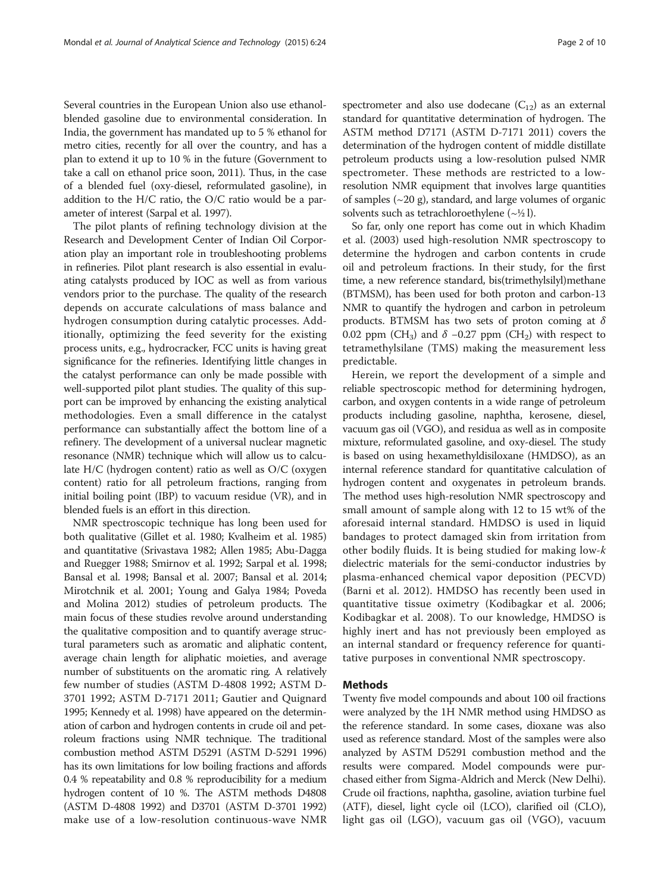Several countries in the European Union also use ethanolblended gasoline due to environmental consideration. In India, the government has mandated up to 5 % ethanol for metro cities, recently for all over the country, and has a plan to extend it up to 10 % in the future (Government to take a call on ethanol price soon, [2011](#page-9-0)). Thus, in the case of a blended fuel (oxy-diesel, reformulated gasoline), in addition to the H/C ratio, the O/C ratio would be a parameter of interest (Sarpal et al. [1997\)](#page-9-0).

The pilot plants of refining technology division at the Research and Development Center of Indian Oil Corporation play an important role in troubleshooting problems in refineries. Pilot plant research is also essential in evaluating catalysts produced by IOC as well as from various vendors prior to the purchase. The quality of the research depends on accurate calculations of mass balance and hydrogen consumption during catalytic processes. Additionally, optimizing the feed severity for the existing process units, e.g., hydrocracker, FCC units is having great significance for the refineries. Identifying little changes in the catalyst performance can only be made possible with well-supported pilot plant studies. The quality of this support can be improved by enhancing the existing analytical methodologies. Even a small difference in the catalyst performance can substantially affect the bottom line of a refinery. The development of a universal nuclear magnetic resonance (NMR) technique which will allow us to calculate H/C (hydrogen content) ratio as well as O/C (oxygen content) ratio for all petroleum fractions, ranging from initial boiling point (IBP) to vacuum residue (VR), and in blended fuels is an effort in this direction.

NMR spectroscopic technique has long been used for both qualitative (Gillet et al. [1980](#page-9-0); Kvalheim et al. [1985](#page-9-0)) and quantitative (Srivastava [1982](#page-9-0); Allen [1985;](#page-9-0) Abu-Dagga and Ruegger [1988;](#page-9-0) Smirnov et al. [1992;](#page-9-0) Sarpal et al. [1998](#page-9-0); Bansal et al. [1998;](#page-9-0) Bansal et al. [2007](#page-9-0); Bansal et al. [2014](#page-9-0); Mirotchnik et al. [2001](#page-9-0); Young and Galya [1984](#page-9-0); Poveda and Molina [2012](#page-9-0)) studies of petroleum products. The main focus of these studies revolve around understanding the qualitative composition and to quantify average structural parameters such as aromatic and aliphatic content, average chain length for aliphatic moieties, and average number of substituents on the aromatic ring. A relatively few number of studies (ASTM D-4808 [1992;](#page-9-0) ASTM D-3701 [1992](#page-9-0); ASTM D-7171 [2011;](#page-9-0) Gautier and Quignard [1995;](#page-9-0) Kennedy et al. [1998](#page-9-0)) have appeared on the determination of carbon and hydrogen contents in crude oil and petroleum fractions using NMR technique. The traditional combustion method ASTM D5291 (ASTM D-5291 [1996](#page-9-0)) has its own limitations for low boiling fractions and affords 0.4 % repeatability and 0.8 % reproducibility for a medium hydrogen content of 10 %. The ASTM methods D4808 (ASTM D-4808 [1992\)](#page-9-0) and D3701 (ASTM D-3701 [1992](#page-9-0)) make use of a low-resolution continuous-wave NMR

spectrometer and also use dodecane  $(C_{12})$  as an external standard for quantitative determination of hydrogen. The ASTM method D7171 (ASTM D-7171 [2011](#page-9-0)) covers the determination of the hydrogen content of middle distillate petroleum products using a low-resolution pulsed NMR spectrometer. These methods are restricted to a lowresolution NMR equipment that involves large quantities of samples  $(\sim 20 \text{ g})$ , standard, and large volumes of organic solvents such as tetrachloroethylene  $(\sim \frac{1}{2}$ ]).

So far, only one report has come out in which Khadim et al. [\(2003\)](#page-9-0) used high-resolution NMR spectroscopy to determine the hydrogen and carbon contents in crude oil and petroleum fractions. In their study, for the first time, a new reference standard, bis(trimethylsilyl)methane (BTMSM), has been used for both proton and carbon-13 NMR to quantify the hydrogen and carbon in petroleum products. BTMSM has two sets of proton coming at  $\delta$ 0.02 ppm (CH<sub>3</sub>) and  $\delta$  –0.27 ppm (CH<sub>2</sub>) with respect to tetramethylsilane (TMS) making the measurement less predictable.

Herein, we report the development of a simple and reliable spectroscopic method for determining hydrogen, carbon, and oxygen contents in a wide range of petroleum products including gasoline, naphtha, kerosene, diesel, vacuum gas oil (VGO), and residua as well as in composite mixture, reformulated gasoline, and oxy-diesel. The study is based on using hexamethyldisiloxane (HMDSO), as an internal reference standard for quantitative calculation of hydrogen content and oxygenates in petroleum brands. The method uses high-resolution NMR spectroscopy and small amount of sample along with 12 to 15 wt% of the aforesaid internal standard. HMDSO is used in liquid bandages to protect damaged skin from irritation from other bodily fluids. It is being studied for making low-k dielectric materials for the semi-conductor industries by plasma-enhanced chemical vapor deposition (PECVD) (Barni et al. [2012](#page-9-0)). HMDSO has recently been used in quantitative tissue oximetry (Kodibagkar et al. [2006](#page-9-0); Kodibagkar et al. [2008\)](#page-9-0). To our knowledge, HMDSO is highly inert and has not previously been employed as an internal standard or frequency reference for quantitative purposes in conventional NMR spectroscopy.

#### Methods

Twenty five model compounds and about 100 oil fractions were analyzed by the 1H NMR method using HMDSO as the reference standard. In some cases, dioxane was also used as reference standard. Most of the samples were also analyzed by ASTM D5291 combustion method and the results were compared. Model compounds were purchased either from Sigma-Aldrich and Merck (New Delhi). Crude oil fractions, naphtha, gasoline, aviation turbine fuel (ATF), diesel, light cycle oil (LCO), clarified oil (CLO), light gas oil (LGO), vacuum gas oil (VGO), vacuum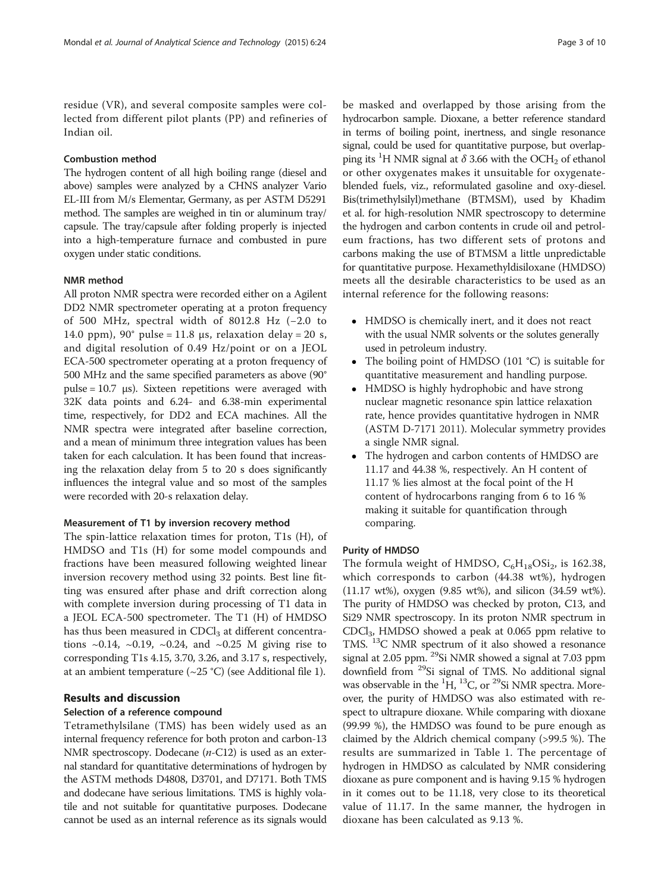residue (VR), and several composite samples were collected from different pilot plants (PP) and refineries of Indian oil.

#### Combustion method

The hydrogen content of all high boiling range (diesel and above) samples were analyzed by a CHNS analyzer Vario EL-III from M/s Elementar, Germany, as per ASTM D5291 method. The samples are weighed in tin or aluminum tray/ capsule. The tray/capsule after folding properly is injected into a high-temperature furnace and combusted in pure oxygen under static conditions.

#### NMR method

All proton NMR spectra were recorded either on a Agilent DD2 NMR spectrometer operating at a proton frequency of 500 MHz, spectral width of 8012.8 Hz (−2.0 to 14.0 ppm),  $90^{\circ}$  pulse = 11.8 μs, relaxation delay = 20 s, and digital resolution of 0.49 Hz/point or on a JEOL ECA-500 spectrometer operating at a proton frequency of 500 MHz and the same specified parameters as above (90° pulse = 10.7 μs). Sixteen repetitions were averaged with 32K data points and 6.24- and 6.38-min experimental time, respectively, for DD2 and ECA machines. All the NMR spectra were integrated after baseline correction, and a mean of minimum three integration values has been taken for each calculation. It has been found that increasing the relaxation delay from 5 to 20 s does significantly influences the integral value and so most of the samples were recorded with 20-s relaxation delay.

#### Measurement of T1 by inversion recovery method

The spin-lattice relaxation times for proton, T1s (H), of HMDSO and T1s (H) for some model compounds and fractions have been measured following weighted linear inversion recovery method using 32 points. Best line fitting was ensured after phase and drift correction along with complete inversion during processing of T1 data in a JEOL ECA-500 spectrometer. The T1 (H) of HMDSO has thus been measured in  $CDCl<sub>3</sub>$  at different concentrations  $\sim 0.14$ ,  $\sim 0.19$ ,  $\sim 0.24$ , and  $\sim 0.25$  M giving rise to corresponding T1s 4.15, 3.70, 3.26, and 3.17 s, respectively, at an ambient temperature  $(\sim 25 \degree C)$  (see Additional file [1](#page-9-0)).

#### Results and discussion

#### Selection of a reference compound

Tetramethylsilane (TMS) has been widely used as an internal frequency reference for both proton and carbon-13 NMR spectroscopy. Dodecane (*n*-C12) is used as an external standard for quantitative determinations of hydrogen by the ASTM methods D4808, D3701, and D7171. Both TMS and dodecane have serious limitations. TMS is highly volatile and not suitable for quantitative purposes. Dodecane cannot be used as an internal reference as its signals would

be masked and overlapped by those arising from the hydrocarbon sample. Dioxane, a better reference standard in terms of boiling point, inertness, and single resonance signal, could be used for quantitative purpose, but overlapping its <sup>1</sup>H NMR signal at  $\delta$  3.66 with the OCH<sub>2</sub> of ethanol or other oxygenates makes it unsuitable for oxygenateblended fuels, viz., reformulated gasoline and oxy-diesel. Bis(trimethylsilyl)methane (BTMSM), used by Khadim et al. for high-resolution NMR spectroscopy to determine the hydrogen and carbon contents in crude oil and petroleum fractions, has two different sets of protons and carbons making the use of BTMSM a little unpredictable for quantitative purpose. Hexamethyldisiloxane (HMDSO) meets all the desirable characteristics to be used as an internal reference for the following reasons:

- HMDSO is chemically inert, and it does not react with the usual NMR solvents or the solutes generally used in petroleum industry.
- The boiling point of HMDSO (101 °C) is suitable for quantitative measurement and handling purpose.
- HMDSO is highly hydrophobic and have strong nuclear magnetic resonance spin lattice relaxation rate, hence provides quantitative hydrogen in NMR (ASTM D-7171 [2011](#page-9-0)). Molecular symmetry provides a single NMR signal.
- The hydrogen and carbon contents of HMDSO are 11.17 and 44.38 %, respectively. An H content of 11.17 % lies almost at the focal point of the H content of hydrocarbons ranging from 6 to 16 % making it suitable for quantification through comparing.

#### Purity of HMDSO

The formula weight of HMDSO,  $C_6H_{18}OSi_2$ , is 162.38, which corresponds to carbon (44.38 wt%), hydrogen (11.17 wt%), oxygen (9.85 wt%), and silicon (34.59 wt%). The purity of HMDSO was checked by proton, C13, and Si29 NMR spectroscopy. In its proton NMR spectrum in CDCl3, HMDSO showed a peak at 0.065 ppm relative to TMS. <sup>13</sup>C NMR spectrum of it also showed a resonance signal at 2.05 ppm. <sup>29</sup>Si NMR showed a signal at 7.03 ppm downfield from <sup>29</sup>Si signal of TMS. No additional signal was observable in the  ${}^{1}H$ ,  ${}^{13}C$ , or  ${}^{29}Si$  NMR spectra. Moreover, the purity of HMDSO was also estimated with respect to ultrapure dioxane. While comparing with dioxane (99.99 %), the HMDSO was found to be pure enough as claimed by the Aldrich chemical company (>99.5 %). The results are summarized in Table [1.](#page-3-0) The percentage of hydrogen in HMDSO as calculated by NMR considering dioxane as pure component and is having 9.15 % hydrogen in it comes out to be 11.18, very close to its theoretical value of 11.17. In the same manner, the hydrogen in dioxane has been calculated as 9.13 %.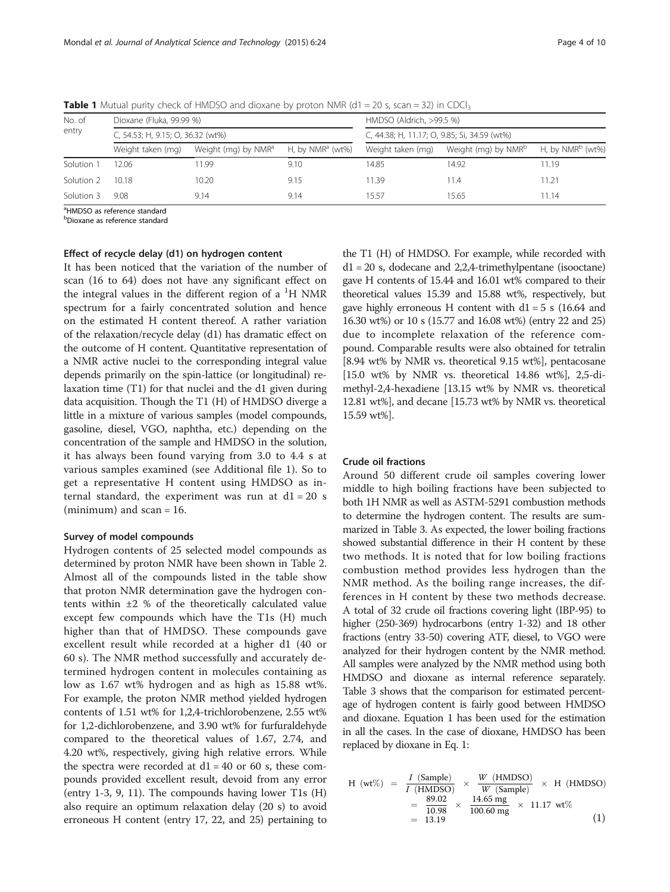| No. of<br>entry | Dioxane (Fluka, 99.99 %)<br>C, 54.53; H, 9.15; O, 36.32 (wt%) |       |      | HMDSO (Aldrich, >99.5 %)<br>C, 44.38; H, 11.17; O, 9.85; Si, 34.59 (wt%) |       |       |
|-----------------|---------------------------------------------------------------|-------|------|--------------------------------------------------------------------------|-------|-------|
|                 |                                                               |       |      |                                                                          |       |       |
|                 | Solution 1                                                    | 12.06 | 1.99 | 9.10                                                                     | 14.85 | 14.92 |
| Solution 2      | 10.18                                                         | 10.20 | 9.15 | 1.39                                                                     | 11.4  | 11.21 |
| Solution 3      | 9.08                                                          | 9.14  | 9.14 | 15.57                                                                    | 15.65 | 11.14 |

<span id="page-3-0"></span>**Table 1** Mutual purity check of HMDSO and dioxane by proton NMR ( $d1 = 20$  s, scan = 32) in CDCl<sub>3</sub>

<sup>a</sup>HMDSO as reference standard

<sup>b</sup>Dioxane as reference standard

#### Effect of recycle delay (d1) on hydrogen content

It has been noticed that the variation of the number of scan (16 to 64) does not have any significant effect on the integral values in the different region of a <sup>1</sup>H NMR spectrum for a fairly concentrated solution and hence on the estimated H content thereof. A rather variation of the relaxation/recycle delay (d1) has dramatic effect on the outcome of H content. Quantitative representation of a NMR active nuclei to the corresponding integral value depends primarily on the spin-lattice (or longitudinal) relaxation time (T1) for that nuclei and the d1 given during data acquisition. Though the T1 (H) of HMDSO diverge a little in a mixture of various samples (model compounds, gasoline, diesel, VGO, naphtha, etc.) depending on the concentration of the sample and HMDSO in the solution, it has always been found varying from 3.0 to 4.4 s at various samples examined (see Additional file [1](#page-9-0)). So to get a representative H content using HMDSO as internal standard, the experiment was run at  $d1 = 20$  s (minimum) and scan  $= 16$ .

#### Survey of model compounds

Hydrogen contents of 25 selected model compounds as determined by proton NMR have been shown in Table [2](#page-4-0). Almost all of the compounds listed in the table show that proton NMR determination gave the hydrogen contents within  $\pm 2$  % of the theoretically calculated value except few compounds which have the T1s (H) much higher than that of HMDSO. These compounds gave excellent result while recorded at a higher d1 (40 or 60 s). The NMR method successfully and accurately determined hydrogen content in molecules containing as low as 1.67 wt% hydrogen and as high as 15.88 wt%. For example, the proton NMR method yielded hydrogen contents of 1.51 wt% for 1,2,4-trichlorobenzene, 2.55 wt% for 1,2-dichlorobenzene, and 3.90 wt% for furfuraldehyde compared to the theoretical values of 1.67, 2.74, and 4.20 wt%, respectively, giving high relative errors. While the spectra were recorded at  $d1 = 40$  or 60 s, these compounds provided excellent result, devoid from any error (entry 1-3, 9, 11). The compounds having lower T1s (H) also require an optimum relaxation delay (20 s) to avoid erroneous H content (entry 17, 22, and 25) pertaining to

the T1 (H) of HMDSO. For example, while recorded with  $d1 = 20$  s, dodecane and 2,2,4-trimethylpentane (isooctane) gave H contents of 15.44 and 16.01 wt% compared to their theoretical values 15.39 and 15.88 wt%, respectively, but gave highly erroneous H content with  $d1 = 5$  s (16.64 and 16.30 wt%) or 10 s (15.77 and 16.08 wt%) (entry 22 and 25) due to incomplete relaxation of the reference compound. Comparable results were also obtained for tetralin [8.94 wt% by NMR vs. theoretical 9.15 wt%], pentacosane [15.0 wt% by NMR vs. theoretical 14.86 wt%], 2,5-dimethyl-2,4-hexadiene [13.15 wt% by NMR vs. theoretical 12.81 wt%], and decane [15.73 wt% by NMR vs. theoretical 15.59 wt%].

#### Crude oil fractions

Around 50 different crude oil samples covering lower middle to high boiling fractions have been subjected to both 1H NMR as well as ASTM-5291 combustion methods to determine the hydrogen content. The results are summarized in Table [3.](#page-5-0) As expected, the lower boiling fractions showed substantial difference in their H content by these two methods. It is noted that for low boiling fractions combustion method provides less hydrogen than the NMR method. As the boiling range increases, the differences in H content by these two methods decrease. A total of 32 crude oil fractions covering light (IBP-95) to higher (250-369) hydrocarbons (entry 1-32) and 18 other fractions (entry 33-50) covering ATF, diesel, to VGO were analyzed for their hydrogen content by the NMR method. All samples were analyzed by the NMR method using both HMDSO and dioxane as internal reference separately. Table [3](#page-5-0) shows that the comparison for estimated percentage of hydrogen content is fairly good between HMDSO and dioxane. Equation 1 has been used for the estimation in all the cases. In the case of dioxane, HMDSO has been replaced by dioxane in Eq. 1:

H (wt%) = 
$$
\frac{I \text{ (Sample)}}{I \text{ (HMDSO)}} \times \frac{W \text{ (HMDSO)}}{W \text{ (Sample)}} \times H \text{ (HMDSO)}
$$
  
=  $\frac{89.02}{10.98} \times \frac{14.65 \text{ mg}}{100.60 \text{ mg}} \times 11.17 \text{ wt\%}$   
= 13.19 (1)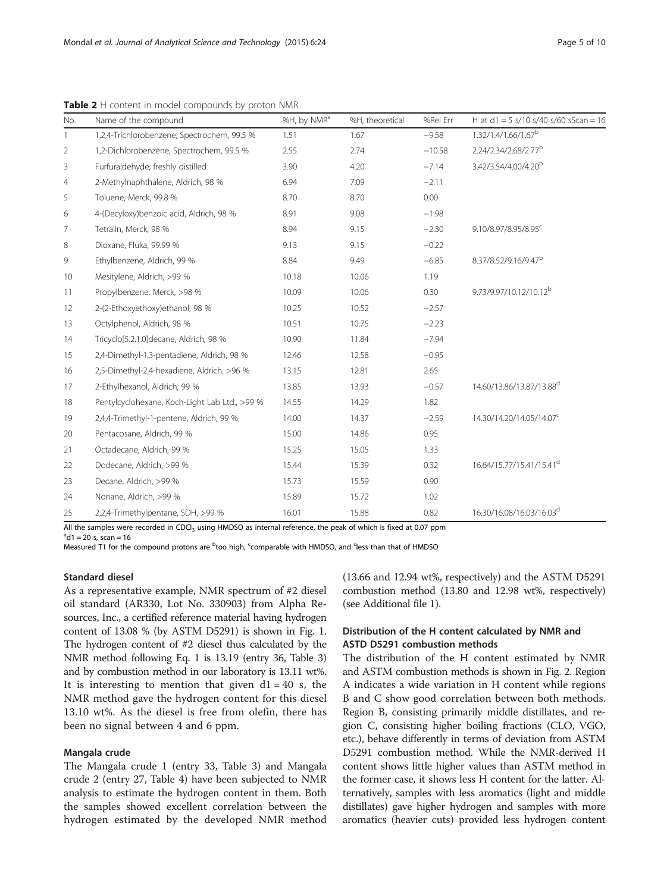No. Name of the compound example and the south of the MH, by NMR<sup>a</sup> %H, theoretical %Rel Err H at d1 = 5 s/10 s/40 s/60 sScan = 16 1 1,2,4-Trichlorobenzene, Spectrochem, 99.5 % 1.51 1.67 −9.58 1.32/1.4/1.66/1.67<sup>b</sup> 2 1,2-Dichlorobenzene, Spectrochem, 99.5 % 2.55 2.74 −10.58 2.24/2.34/2.68/2.77<sup>b</sup> 3 Furfuraldehyde, freshly distilled 3.90 4.20 −7.14 3.42/3.54/4.00/4.20<sup>b</sup> 4 2-Methylnaphthalene, Aldrich, 98 % 6.94 7.09 −2.11 5 Toluene, Merck, 99.8 % 8.70 8.70 0.00 6 4-(Decyloxy)benzoic acid, Aldrich, 98 % 8.91 9.08 −1.98 7 Tetralin, Merck, 98 % 8.94 9.15 −2.30 9.10/8.97/8.95/8.95 8 Dioxane, Fluka, 99.99 % 9.13 9.15 −0.22 9 Ethylbenzene, Aldrich, 99 % 8.84 9.49 −6.85 8.37/8.52/9.16/9.47<sup>b</sup> 10 Mesitylene, Aldrich, >99 % 10.18 10.06 1.19 11 Propylbenzene, Merck, >98 % 10.09 10.06 0.30 9.73/9.97/10.12/10.12<sup>b</sup> 12 2-(2-Ethoxyethoxy)ethanol, 98 % 10.25 10.52 −2.57 13 Octylphenol, Aldrich, 98 % 10.51 10.51 10.75 −2.23 14 Tricyclo[5.2.1.0]decane, Aldrich, 98 % 10.90 11.84 −7.94 15 2,4-Dimethyl-1,3-pentadiene, Aldrich, 98 % 12.46 12.58 −0.95 16 2,5-Dimethyl-2,4-hexadiene, Aldrich, >96 % 13.15 12.81 2.65 17 2-Ethylhexanol, Aldrich, 99 % 13.85 13.93 −0.57 14.60/13.86/13.87/13.88<sup>d</sup> 18 Pentylcyclohexane, Koch-Light Lab Ltd., >99 % 14.55 14.29 1.82 19 2,4,4-Trimethyl-1-pentene, Aldrich, 99 % 14.00 14.37 −2.59 14.30/14.20/14.05/14.07<sup>c</sup> 20 Pentacosane, Aldrich, 99 % 15.00 14.86 0.95 21 Octadecane, Aldrich, 99 % 15.25 15.05 1.33 22 Dodecane, Aldrich, >99 % 15.44 15.39 0.32 16.64/15.77/15.41/15.41d 23 Decane, Aldrich, >99 % 15.73 15.59 0.90 24 Nonane, Aldrich, >99 % 15.89 15.72 1.02

<span id="page-4-0"></span>Table 2 H content in model compounds by proton NMR

All the samples were recorded in CDCl<sub>3</sub> using HMDSO as internal reference, the peak of which is fixed at 0.07 ppm

25 2,2,4-Trimethylpentane, SDH, >99 % 16.01 15.88 0.82 16.30/16.08/16.03/16.03<sup>d</sup>

 $^{a}$ d1 = 20 s, scan = 16

Measured T1 for the compound protons are <sup>b</sup>too high, <sup>c</sup>comparable with HMDSO, and <sup>c</sup>less than that of HMDSO

#### Standard diesel

As a representative example, NMR spectrum of #2 diesel oil standard (AR330, Lot No. 330903) from Alpha Resources, Inc., a certified reference material having hydrogen content of 13.08 % (by ASTM D5291) is shown in Fig. [1](#page-6-0). The hydrogen content of #2 diesel thus calculated by the NMR method following Eq. 1 is 13.19 (entry 36, Table [3](#page-5-0)) and by combustion method in our laboratory is 13.11 wt%. It is interesting to mention that given  $d1 = 40$  s, the NMR method gave the hydrogen content for this diesel 13.10 wt%. As the diesel is free from olefin, there has been no signal between 4 and 6 ppm.

#### Mangala crude

The Mangala crude 1 (entry 33, Table [3\)](#page-5-0) and Mangala crude 2 (entry 27, Table [4\)](#page-7-0) have been subjected to NMR analysis to estimate the hydrogen content in them. Both the samples showed excellent correlation between the hydrogen estimated by the developed NMR method (13.66 and 12.94 wt%, respectively) and the ASTM D5291 combustion method (13.80 and 12.98 wt%, respectively) (see Additional file [1](#page-9-0)).

### Distribution of the H content calculated by NMR and ASTD D5291 combustion methods

The distribution of the H content estimated by NMR and ASTM combustion methods is shown in Fig. [2](#page-7-0). Region A indicates a wide variation in H content while regions B and C show good correlation between both methods. Region B, consisting primarily middle distillates, and region C, consisting higher boiling fractions (CLO, VGO, etc.), behave differently in terms of deviation from ASTM D5291 combustion method. While the NMR-derived H content shows little higher values than ASTM method in the former case, it shows less H content for the latter. Alternatively, samples with less aromatics (light and middle distillates) gave higher hydrogen and samples with more aromatics (heavier cuts) provided less hydrogen content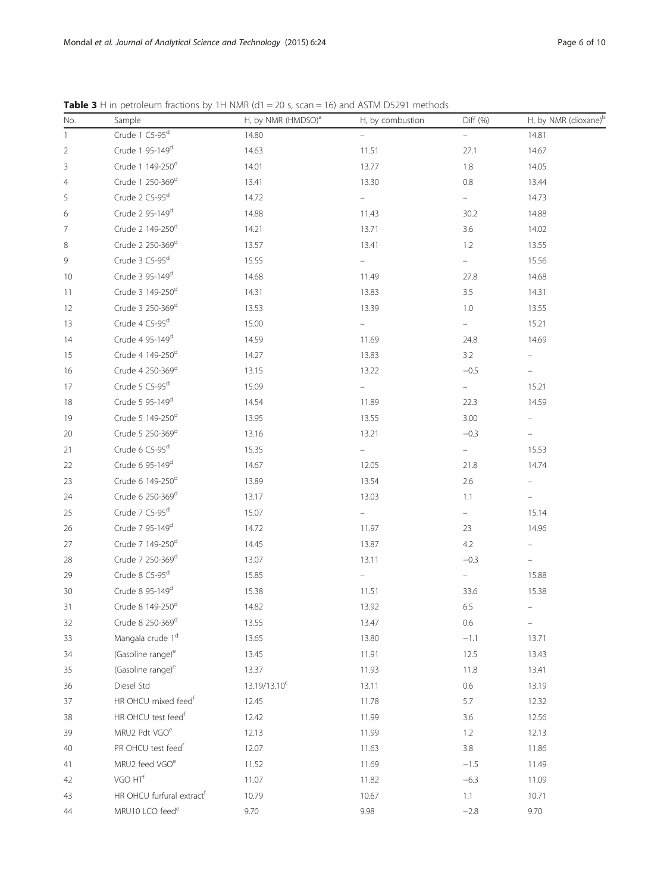| No.            | Sample                                | H, by NMR (HMDSO) <sup>a</sup> | H, by combustion         | Diff (%)                 | H, by NMR (dioxane) <sup>t</sup> |
|----------------|---------------------------------------|--------------------------------|--------------------------|--------------------------|----------------------------------|
| $\mathbf{1}$   | Crude 1 C5-95 <sup>d</sup>            | 14.80                          | $\overline{\phantom{0}}$ | ÷,                       | 14.81                            |
| $\overline{c}$ | Crude 1 95-149 <sup>d</sup>           | 14.63                          | 11.51                    | 27.1                     | 14.67                            |
| 3              | Crude 1 149-250 <sup>d</sup>          | 14.01                          | 13.77                    | 1.8                      | 14.05                            |
| 4              | Crude 1 250-369d                      | 13.41                          | 13.30                    | $0.8\,$                  | 13.44                            |
| 5              | Crude 2 C5-95 <sup>d</sup>            | 14.72                          |                          |                          | 14.73                            |
| 6              | Crude 2 95-149d                       | 14.88                          | 11.43                    | 30.2                     | 14.88                            |
| 7              | Crude 2 149-250 <sup>d</sup>          | 14.21                          | 13.71                    | 3.6                      | 14.02                            |
| 8              | Crude 2 250-369d                      | 13.57                          | 13.41                    | 1.2                      | 13.55                            |
| 9              | Crude 3 C5-95 <sup>d</sup>            | 15.55                          | $\overline{\phantom{0}}$ | -                        | 15.56                            |
| 10             | Crude 3 95-149 <sup>d</sup>           | 14.68                          | 11.49                    | 27.8                     | 14.68                            |
| 11             | Crude 3 149-250d                      | 14.31                          | 13.83                    | 3.5                      | 14.31                            |
| 12             | Crude 3 250-369d                      | 13.53                          | 13.39                    | 1.0                      | 13.55                            |
| 13             | Crude 4 C5-95 <sup>d</sup>            | 15.00                          | $\overline{\phantom{0}}$ | Ξ.                       | 15.21                            |
| 14             | Crude 4 95-149 <sup>d</sup>           | 14.59                          | 11.69                    | 24.8                     | 14.69                            |
| 15             | Crude 4 149-250d                      | 14.27                          | 13.83                    | 3.2                      | $\overline{\phantom{0}}$         |
| 16             | Crude 4 250-369d                      | 13.15                          | 13.22                    | $-0.5$                   | $\qquad \qquad -$                |
| 17             | Crude 5 C5-95 <sup>d</sup>            | 15.09                          |                          |                          | 15.21                            |
| 18             | Crude 5 95-149d                       | 14.54                          | 11.89                    | 22.3                     | 14.59                            |
| 19             | Crude 5 149-250 <sup>d</sup>          | 13.95                          | 13.55                    | 3.00                     | $\overline{\phantom{0}}$         |
| 20             | Crude 5 250-369d                      | 13.16                          | 13.21                    | $-0.3$                   |                                  |
| 21             | Crude 6 C5-95 <sup>d</sup>            | 15.35                          | $\overline{\phantom{0}}$ | $\overline{\phantom{0}}$ | 15.53                            |
| 22             | Crude 6 95-149 <sup>d</sup>           | 14.67                          | 12.05                    | 21.8                     | 14.74                            |
| 23             | Crude 6 149-250d                      | 13.89                          | 13.54                    | 2.6                      |                                  |
| 24             | Crude 6 250-369d                      | 13.17                          | 13.03                    | 1.1                      | $\overline{\phantom{0}}$         |
| 25             | Crude 7 C5-95 <sup>d</sup>            | 15.07                          | $\overline{\phantom{0}}$ | $\overline{\phantom{0}}$ | 15.14                            |
| 26             | Crude 7 95-149 <sup>d</sup>           | 14.72                          | 11.97                    | 23                       | 14.96                            |
| 27             | Crude 7 149-250d                      | 14.45                          | 13.87                    | 4.2                      | $\bar{ }$                        |
| 28             | Crude 7 250-369d                      | 13.07                          | 13.11                    | $-0.3$                   |                                  |
| 29             | Crude 8 C5-95 <sup>d</sup>            | 15.85                          | -                        |                          | 15.88                            |
| 30             | Crude 8 95-149d                       | 15.38                          | 11.51                    | 33.6                     | 15.38                            |
| 31             | Crude 8 149-250 <sup>d</sup>          | 14.82                          | 13.92                    | 6.5                      | $\overline{\phantom{0}}$         |
| 32             | Crude 8 250-369d                      | 13.55                          | 13.47                    | 0.6                      | $\overline{\phantom{a}}$         |
| 33             | Mangala crude 1 <sup>d</sup>          | 13.65                          | 13.80                    | $-1.1$                   | 13.71                            |
| 34             | (Gasoline range) <sup>e</sup>         | 13.45                          | 11.91                    | 12.5                     | 13.43                            |
| 35             | (Gasoline range) <sup>e</sup>         | 13.37                          | 11.93                    | 11.8                     | 13.41                            |
| 36             | Diesel Std                            | 13.19/13.10 <sup>c</sup>       | 13.11                    | 0.6                      | 13.19                            |
| 37             | HR OHCU mixed feed <sup>f</sup>       | 12.45                          | 11.78                    | 5.7                      | 12.32                            |
| 38             | HR OHCU test feed <sup>f</sup>        | 12.42                          | 11.99                    | 3.6                      | 12.56                            |
| 39             | MRU2 Pdt VGO <sup>e</sup>             | 12.13                          | 11.99                    | 1.2                      | 12.13                            |
| 40             | PR OHCU test feed <sup>f</sup>        | 12.07                          | 11.63                    | 3.8                      | 11.86                            |
| 41             | MRU2 feed VGO <sup>e</sup>            | 11.52                          | 11.69                    | $-1.5$                   | 11.49                            |
| 42             | VGO HT <sup>f</sup>                   | 11.07                          | 11.82                    | $-6.3$                   | 11.09                            |
| 43             | HR OHCU furfural extract <sup>f</sup> | 10.79                          | 10.67                    | 1.1                      | 10.71                            |
| 44             | MRU10 LCO feed <sup>e</sup>           | 9.70                           | 9.98                     | $-2.8$                   | 9.70                             |

<span id="page-5-0"></span>**Table 3** H in petroleum fractions by 1H NMR ( $d1 = 20$  s, scan = 16) and ASTM D5291 methods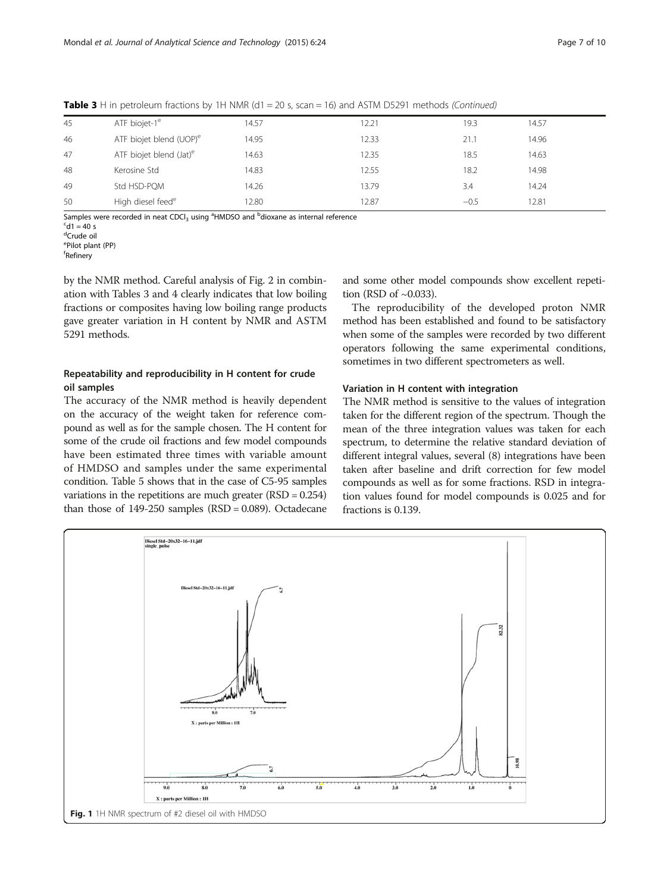| 45 | ATF biojet-1 <sup>e</sup>           | 14.57 | 12.21 | 19.3   | 14.57 |
|----|-------------------------------------|-------|-------|--------|-------|
| 46 | ATF biojet blend (UOP) <sup>e</sup> | 14.95 | 12.33 | 21.1   | 14.96 |
| 47 | ATF biojet blend (Jat) <sup>e</sup> | 14.63 | 12.35 | 18.5   | 14.63 |
| 48 | Kerosine Std                        | 14.83 | 12.55 | 18.2   | 14.98 |
| 49 | Std HSD-PQM                         | 14.26 | 13.79 | 3.4    | 14.24 |
| 50 | High diesel feed <sup>e</sup>       | 12.80 | 12.87 | $-0.5$ | 12.81 |

<span id="page-6-0"></span>**Table 3** H in petroleum fractions by 1H NMR ( $d1 = 20$  s, scan = 16) and ASTM D5291 methods (Continued)

Samples were recorded in neat CDCl<sub>3</sub> using <sup>a</sup>HMDSO and <sup>b</sup>dioxane as internal reference<br><sup>S41</sup> = 40 s

 $^{\circ}$ d1 = 40 s

<sup>d</sup>Crude oil

e Pilot plant (PP)

f Refinery

by the NMR method. Careful analysis of Fig. [2](#page-7-0) in combination with Tables [3](#page-5-0) and [4](#page-7-0) clearly indicates that low boiling fractions or composites having low boiling range products gave greater variation in H content by NMR and ASTM 5291 methods.

## Repeatability and reproducibility in H content for crude oil samples

The accuracy of the NMR method is heavily dependent on the accuracy of the weight taken for reference compound as well as for the sample chosen. The H content for some of the crude oil fractions and few model compounds have been estimated three times with variable amount of HMDSO and samples under the same experimental condition. Table [5](#page-8-0) shows that in the case of C5-95 samples variations in the repetitions are much greater (RSD = 0.254) than those of  $149-250$  samples  $(RSD = 0.089)$ . Octadecane and some other model compounds show excellent repetition (RSD of  $\sim$ 0.033).

The reproducibility of the developed proton NMR method has been established and found to be satisfactory when some of the samples were recorded by two different operators following the same experimental conditions, sometimes in two different spectrometers as well.

#### Variation in H content with integration

The NMR method is sensitive to the values of integration taken for the different region of the spectrum. Though the mean of the three integration values was taken for each spectrum, to determine the relative standard deviation of different integral values, several (8) integrations have been taken after baseline and drift correction for few model compounds as well as for some fractions. RSD in integration values found for model compounds is 0.025 and for fractions is 0.139.

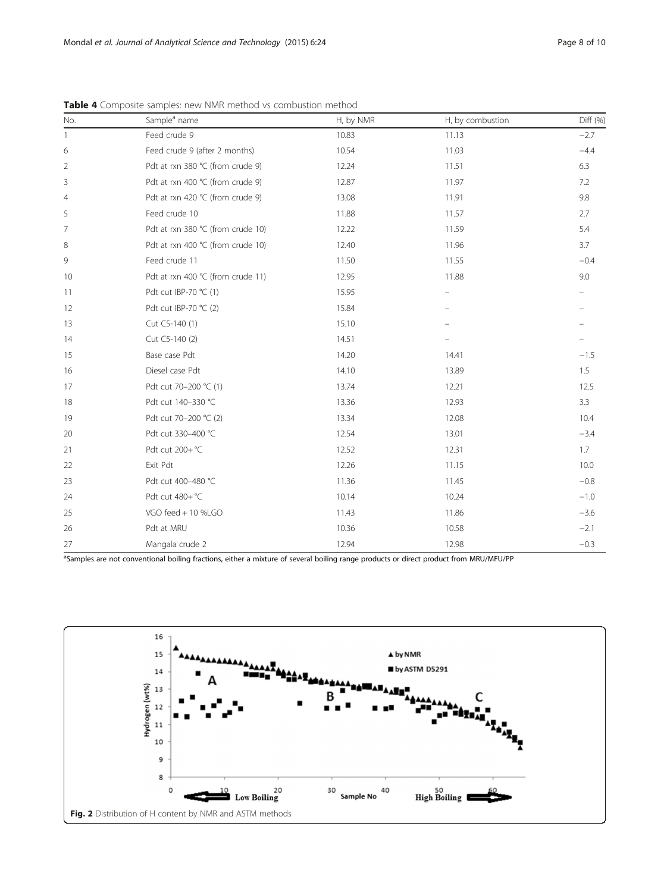| No.            | Sample <sup>a</sup> name          | H, by NMR | H, by combustion | Diff (%) |
|----------------|-----------------------------------|-----------|------------------|----------|
| $\mathbf{1}$   | Feed crude 9                      | 10.83     | 11.13            | $-2.7$   |
| 6              | Feed crude 9 (after 2 months)     | 10.54     | 11.03            | $-4.4$   |
| $\overline{2}$ | Pdt at rxn 380 °C (from crude 9)  | 12.24     | 11.51            | 6.3      |
| 3              | Pdt at rxn 400 °C (from crude 9)  | 12.87     | 11.97            | 7.2      |
| $\overline{4}$ | Pdt at rxn 420 ℃ (from crude 9)   | 13.08     | 11.91            | 9.8      |
| 5              | Feed crude 10                     | 11.88     | 11.57            | 2.7      |
| 7              | Pdt at rxn 380 °C (from crude 10) | 12.22     | 11.59            | 5.4      |
| 8              | Pdt at rxn 400 °C (from crude 10) | 12.40     | 11.96            | 3.7      |
| 9              | Feed crude 11                     | 11.50     | 11.55            | $-0.4$   |
| 10             | Pdt at rxn 400 ℃ (from crude 11)  | 12.95     | 11.88            | 9.0      |
| 11             | Pdt cut IBP-70 °C (1)             | 15.95     |                  |          |
| 12             | Pdt cut IBP-70 °C (2)             | 15.84     |                  |          |
| 13             | Cut C5-140 (1)                    | 15.10     |                  |          |
| 14             | Cut C5-140 (2)                    | 14.51     |                  |          |
| 15             | Base case Pdt                     | 14.20     | 14.41            | $-1.5$   |
| 16             | Diesel case Pdt                   | 14.10     | 13.89            | 1.5      |
| 17             | Pdt cut 70-200 °C (1)             | 13.74     | 12.21            | 12.5     |
| 18             | Pdt cut 140-330 °C                | 13.36     | 12.93            | 3.3      |
| 19             | Pdt cut 70-200 °C (2)             | 13.34     | 12.08            | 10.4     |
| 20             | Pdt cut 330-400 °C                | 12.54     | 13.01            | $-3.4$   |
| 21             | Pdt cut 200+ °C                   | 12.52     | 12.31            | 1.7      |
| 22             | Exit Pdt                          | 12.26     | 11.15            | 10.0     |
| 23             | Pdt cut 400-480 °C                | 11.36     | 11.45            | $-0.8$   |
| 24             | Pdt cut 480+ °C                   | 10.14     | 10.24            | $-1.0$   |
| 25             | VGO feed + 10 %LGO                | 11.43     | 11.86            | $-3.6$   |
| 26             | Pdt at MRU                        | 10.36     | 10.58            | $-2.1$   |
| 27             | Mangala crude 2                   | 12.94     | 12.98            | $-0.3$   |

<span id="page-7-0"></span>Table 4 Composite samples: new NMR method vs combustion method

<sup>a</sup>Samples are not conventional boiling fractions, either a mixture of several boiling range products or direct product from MRU/MFU/PP

![](_page_7_Figure_5.jpeg)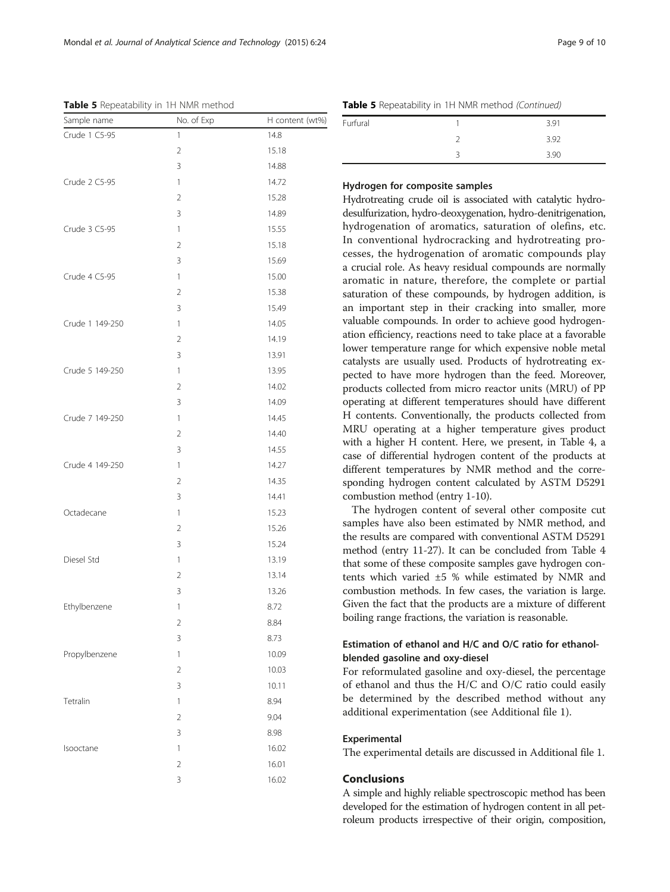hydrogenation of aromatics, saturation of olefins, etc. In conventional hydrocracking and hydrotreating processes, the hydrogenation of aromatic compounds play a crucial role. As heavy residual compounds are normally aromatic in nature, therefore, the complete or partial saturation of these compounds, by hydrogen addition, is an important step in their cracking into smaller, more valuable compounds. In order to achieve good hydrogenation efficiency, reactions need to take place at a favorable lower temperature range for which expensive noble metal catalysts are usually used. Products of hydrotreating expected to have more hydrogen than the feed. Moreover, products collected from micro reactor units (MRU) of PP operating at different temperatures should have different H contents. Conventionally, the products collected from MRU operating at a higher temperature gives product with a higher H content. Here, we present, in Table [4](#page-7-0), a case of differential hydrogen content of the products at different temperatures by NMR method and the corresponding hydrogen content calculated by ASTM D5291 combustion method (entry 1-10).

The hydrogen content of several other composite cut samples have also been estimated by NMR method, and the results are compared with conventional ASTM D5291 method (entry 11-27). It can be concluded from Table [4](#page-7-0) that some of these composite samples gave hydrogen contents which varied ±5 % while estimated by NMR and combustion methods. In few cases, the variation is large. Given the fact that the products are a mixture of different boiling range fractions, the variation is reasonable.

## Estimation of ethanol and H/C and O/C ratio for ethanolblended gasoline and oxy-diesel

For reformulated gasoline and oxy-diesel, the percentage of ethanol and thus the H/C and O/C ratio could easily be determined by the described method without any additional experimentation (see Additional file [1](#page-9-0)).

### Experimental

The experimental details are discussed in Additional file [1.](#page-9-0)

### Conclusions

A simple and highly reliable spectroscopic method has been developed for the estimation of hydrogen content in all petroleum products irrespective of their origin, composition,

<span id="page-8-0"></span>Table 5 Repeatability in 1H NMR method

| Sample name     | No. of Exp     | H content (wt%) |
|-----------------|----------------|-----------------|
| Crude 1 C5-95   | 1              | 14.8            |
|                 | $\overline{2}$ | 15.18           |
|                 | 3              | 14.88           |
| Crude 2 C5-95   | $\mathbf{1}$   | 14.72           |
|                 | $\overline{2}$ | 15.28           |
|                 | 3              | 14.89           |
| Crude 3 C5-95   | $\mathbf{1}$   | 15.55           |
|                 | $\overline{2}$ | 15.18           |
|                 | 3              | 15.69           |
| Crude 4 C5-95   | $\mathbf{1}$   | 15.00           |
|                 | $\overline{2}$ | 15.38           |
|                 | 3              | 15.49           |
| Crude 1 149-250 | $\mathbf{1}$   | 14.05           |
|                 | $\overline{2}$ | 14.19           |
|                 | 3              | 13.91           |
| Crude 5 149-250 | $\mathbf{1}$   | 13.95           |
|                 | $\overline{2}$ | 14.02           |
|                 | 3              | 14.09           |
| Crude 7 149-250 | $\mathbf{1}$   | 14.45           |
|                 | $\overline{2}$ | 14.40           |
|                 | 3              | 14.55           |
| Crude 4 149-250 | $\mathbf{1}$   | 14.27           |
|                 | $\overline{2}$ | 14.35           |
|                 | 3              | 14.41           |
| Octadecane      | $\mathbf{1}$   | 15.23           |
|                 | $\overline{2}$ | 15.26           |
|                 | 3              | 15.24           |
| Diesel Std      | $\mathbf{1}$   | 13.19           |
|                 | $\overline{2}$ | 13.14           |
|                 | 3              | 13.26           |
| Ethylbenzene    | 1              | 8.72            |
|                 | $\overline{c}$ | 8.84            |
|                 | 3              | 8.73            |
| Propylbenzene   | 1              | 10.09           |
|                 | $\overline{2}$ | 10.03           |
|                 | 3              | 10.11           |
| Tetralin        | 1              | 8.94            |
|                 | $\overline{2}$ | 9.04            |
|                 | 3              | 8.98            |
| Isooctane       | 1              | 16.02           |
|                 | $\overline{2}$ | 16.01           |
|                 | 3              | 16.02           |

Table 5 Repeatability in 1H NMR method (Continued)

Hydrogen for composite samples

| Furfural | 3.91 |
|----------|------|
|          | 3.92 |
|          | 3.90 |

Hydrotreating crude oil is associated with catalytic hydrodesulfurization, hydro-deoxygenation, hydro-denitrigenation,